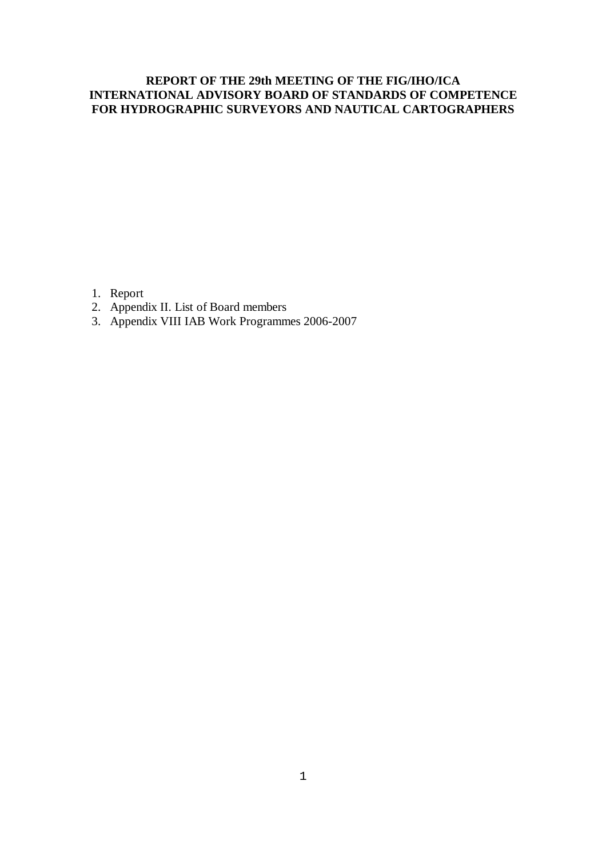# **REPORT OF THE 29th MEETING OF THE FIG/IHO/ICA INTERNATIONAL ADVISORY BOARD OF STANDARDS OF COMPETENCE FOR HYDROGRAPHIC SURVEYORS AND NAUTICAL CARTOGRAPHERS**

- 1. Report
- 2. Appendix II. List of Board members
- 3. Appendix VIII IAB Work Programmes 2006-2007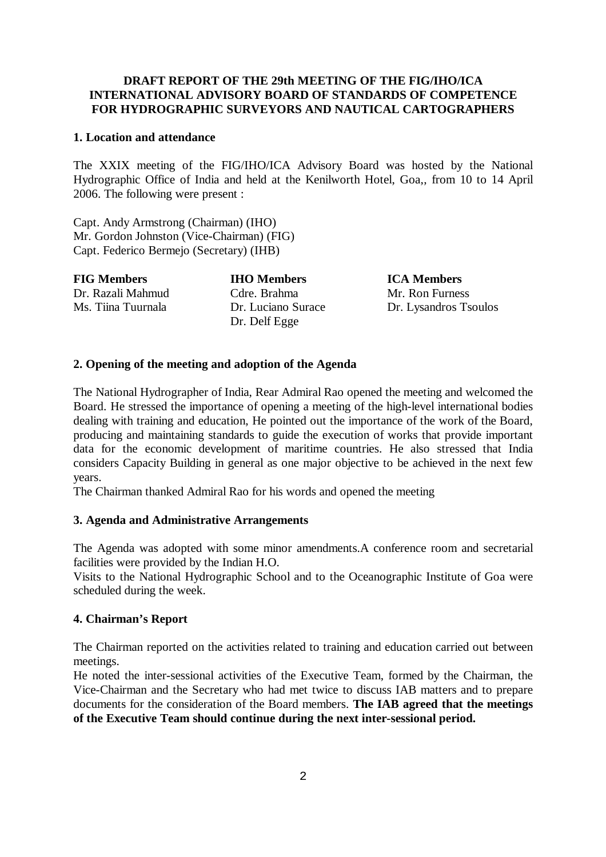## **DRAFT REPORT OF THE 29th MEETING OF THE FIG/IHO/ICA INTERNATIONAL ADVISORY BOARD OF STANDARDS OF COMPETENCE FOR HYDROGRAPHIC SURVEYORS AND NAUTICAL CARTOGRAPHERS**

#### **1. Location and attendance**

The XXIX meeting of the FIG/IHO/ICA Advisory Board was hosted by the National Hydrographic Office of India and held at the Kenilworth Hotel, Goa,, from 10 to 14 April 2006. The following were present :

Capt. Andy Armstrong (Chairman) (IHO) Mr. Gordon Johnston (Vice-Chairman) (FIG) Capt. Federico Bermejo (Secretary) (IHB)

| <b>FIG Members</b> | <b>IHO Members</b>                  | <b>ICA Members</b>    |
|--------------------|-------------------------------------|-----------------------|
| Dr. Razali Mahmud  | Cdre. Brahma                        | Mr. Ron Furness       |
| Ms. Tiina Tuurnala | Dr. Luciano Surace<br>Dr. Delf Egge | Dr. Lysandros Tsoulos |

#### **2. Opening of the meeting and adoption of the Agenda**

The National Hydrographer of India, Rear Admiral Rao opened the meeting and welcomed the Board. He stressed the importance of opening a meeting of the high-level international bodies dealing with training and education, He pointed out the importance of the work of the Board, producing and maintaining standards to guide the execution of works that provide important data for the economic development of maritime countries. He also stressed that India considers Capacity Building in general as one major objective to be achieved in the next few years.

The Chairman thanked Admiral Rao for his words and opened the meeting

#### **3. Agenda and Administrative Arrangements**

The Agenda was adopted with some minor amendments.A conference room and secretarial facilities were provided by the Indian H.O.

Visits to the National Hydrographic School and to the Oceanographic Institute of Goa were scheduled during the week.

#### **4. Chairman's Report**

The Chairman reported on the activities related to training and education carried out between meetings.

He noted the inter-sessional activities of the Executive Team, formed by the Chairman, the Vice-Chairman and the Secretary who had met twice to discuss IAB matters and to prepare documents for the consideration of the Board members. **The IAB agreed that the meetings of the Executive Team should continue during the next inter-sessional period.**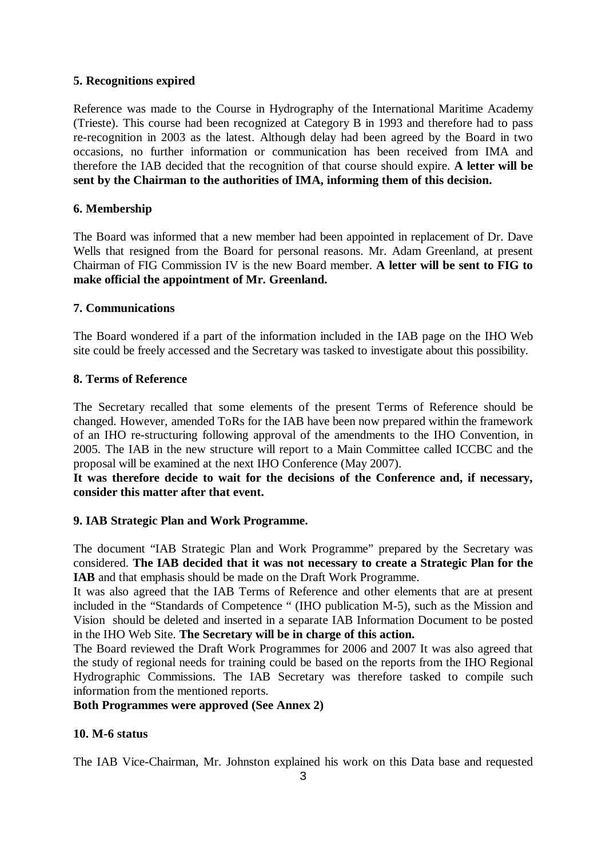# **5. Recognitions expired**

Reference was made to the Course in Hydrography of the International Maritime Academy (Trieste). This course had been recognized at Category B in 1993 and therefore had to pass re-recognition in 2003 as the latest. Although delay had been agreed by the Board in two occasions, no further information or communication has been received from IMA and therefore the IAB decided that the recognition of that course should expire. **A letter will be sent by the Chairman to the authorities of IMA, informing them of this decision.** 

# **6. Membership**

The Board was informed that a new member had been appointed in replacement of Dr. Dave Wells that resigned from the Board for personal reasons. Mr. Adam Greenland, at present Chairman of FIG Commission IV is the new Board member. **A letter will be sent to FIG to make official the appointment of Mr. Greenland.** 

## **7. Communications**

The Board wondered if a part of the information included in the IAB page on the IHO Web site could be freely accessed and the Secretary was tasked to investigate about this possibility.

## **8. Terms of Reference**

The Secretary recalled that some elements of the present Terms of Reference should be changed. However, amended ToRs for the IAB have been now prepared within the framework of an IHO re-structuring following approval of the amendments to the IHO Convention, in 2005. The IAB in the new structure will report to a Main Committee called ICCBC and the proposal will be examined at the next IHO Conference (May 2007).

**It was therefore decide to wait for the decisions of the Conference and, if necessary, consider this matter after that event.** 

# **9. IAB Strategic Plan and Work Programme.**

The document "IAB Strategic Plan and Work Programme" prepared by the Secretary was considered. **The IAB decided that it was not necessary to create a Strategic Plan for the IAB** and that emphasis should be made on the Draft Work Programme.

It was also agreed that the IAB Terms of Reference and other elements that are at present included in the "Standards of Competence " (IHO publication M-5), such as the Mission and Vision should be deleted and inserted in a separate IAB Information Document to be posted in the IHO Web Site. **The Secretary will be in charge of this action.** 

The Board reviewed the Draft Work Programmes for 2006 and 2007 It was also agreed that the study of regional needs for training could be based on the reports from the IHO Regional Hydrographic Commissions. The IAB Secretary was therefore tasked to compile such information from the mentioned reports.

## **Both Programmes were approved (See Annex 2)**

# **10. M-6 status**

The IAB Vice-Chairman, Mr. Johnston explained his work on this Data base and requested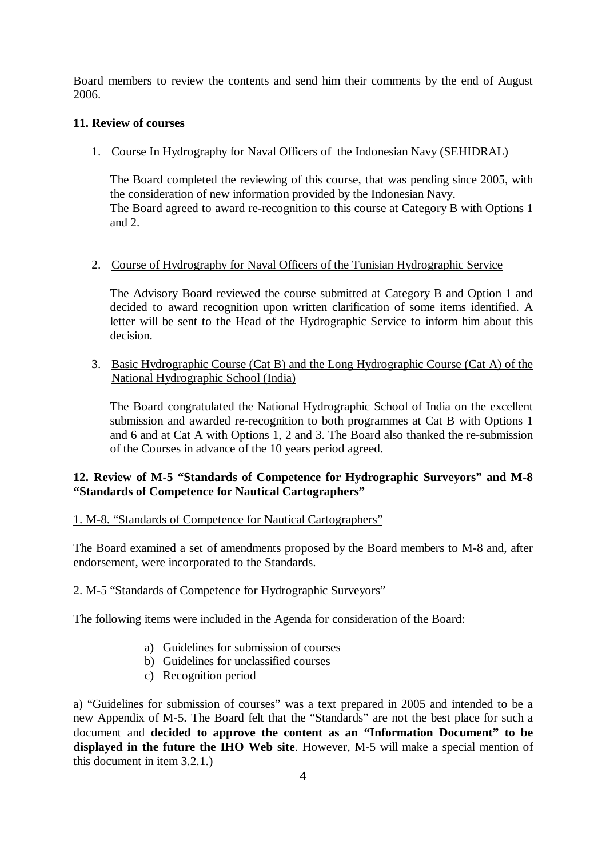Board members to review the contents and send him their comments by the end of August 2006.

# **11. Review of courses**

1. Course In Hydrography for Naval Officers of the Indonesian Navy (SEHIDRAL)

The Board completed the reviewing of this course, that was pending since 2005, with the consideration of new information provided by the Indonesian Navy. The Board agreed to award re-recognition to this course at Category B with Options 1 and 2.

# 2. Course of Hydrography for Naval Officers of the Tunisian Hydrographic Service

The Advisory Board reviewed the course submitted at Category B and Option 1 and decided to award recognition upon written clarification of some items identified. A letter will be sent to the Head of the Hydrographic Service to inform him about this decision.

3. Basic Hydrographic Course (Cat B) and the Long Hydrographic Course (Cat A) of the National Hydrographic School (India)

The Board congratulated the National Hydrographic School of India on the excellent submission and awarded re-recognition to both programmes at Cat B with Options 1 and 6 and at Cat A with Options 1, 2 and 3. The Board also thanked the re-submission of the Courses in advance of the 10 years period agreed.

# **12. Review of M-5 "Standards of Competence for Hydrographic Surveyors" and M-8 "Standards of Competence for Nautical Cartographers"**

## 1. M-8. "Standards of Competence for Nautical Cartographers"

The Board examined a set of amendments proposed by the Board members to M-8 and, after endorsement, were incorporated to the Standards.

## 2. M-5 "Standards of Competence for Hydrographic Surveyors"

The following items were included in the Agenda for consideration of the Board:

- a) Guidelines for submission of courses
- b) Guidelines for unclassified courses
- c) Recognition period

a) "Guidelines for submission of courses" was a text prepared in 2005 and intended to be a new Appendix of M-5. The Board felt that the "Standards" are not the best place for such a document and **decided to approve the content as an "Information Document" to be displayed in the future the IHO Web site**. However, M-5 will make a special mention of this document in item 3.2.1.)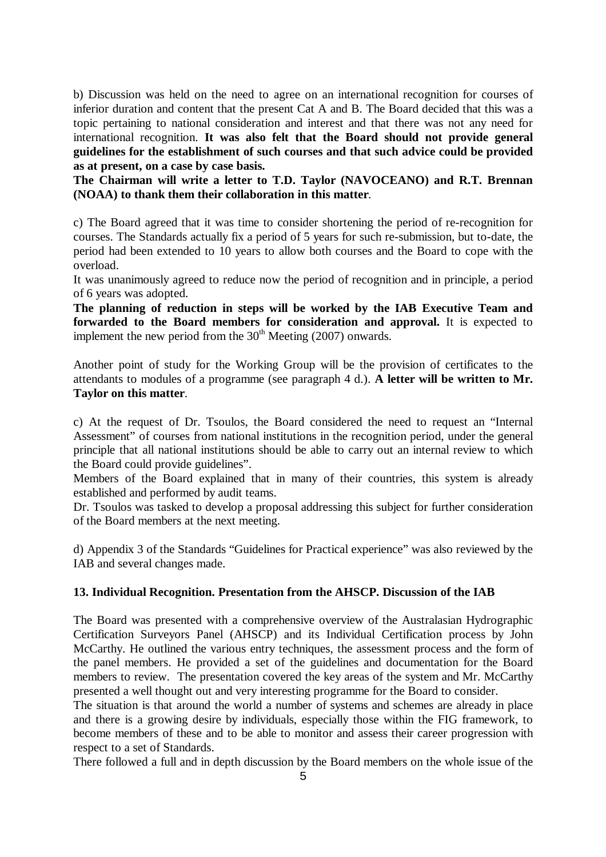b) Discussion was held on the need to agree on an international recognition for courses of inferior duration and content that the present Cat A and B. The Board decided that this was a topic pertaining to national consideration and interest and that there was not any need for international recognition. **It was also felt that the Board should not provide general guidelines for the establishment of such courses and that such advice could be provided as at present, on a case by case basis.** 

**The Chairman will write a letter to T.D. Taylor (NAVOCEANO) and R.T. Brennan (NOAA) to thank them their collaboration in this matter**.

c) The Board agreed that it was time to consider shortening the period of re-recognition for courses. The Standards actually fix a period of 5 years for such re-submission, but to-date, the period had been extended to 10 years to allow both courses and the Board to cope with the overload.

It was unanimously agreed to reduce now the period of recognition and in principle, a period of 6 years was adopted.

**The planning of reduction in steps will be worked by the IAB Executive Team and forwarded to the Board members for consideration and approval.** It is expected to implement the new period from the  $30<sup>th</sup>$  Meeting (2007) onwards.

Another point of study for the Working Group will be the provision of certificates to the attendants to modules of a programme (see paragraph 4 d.). **A letter will be written to Mr. Taylor on this matter**.

c) At the request of Dr. Tsoulos, the Board considered the need to request an "Internal Assessment" of courses from national institutions in the recognition period, under the general principle that all national institutions should be able to carry out an internal review to which the Board could provide guidelines".

Members of the Board explained that in many of their countries, this system is already established and performed by audit teams.

Dr. Tsoulos was tasked to develop a proposal addressing this subject for further consideration of the Board members at the next meeting.

d) Appendix 3 of the Standards "Guidelines for Practical experience" was also reviewed by the IAB and several changes made.

# **13. Individual Recognition. Presentation from the AHSCP. Discussion of the IAB**

The Board was presented with a comprehensive overview of the Australasian Hydrographic Certification Surveyors Panel (AHSCP) and its Individual Certification process by John McCarthy. He outlined the various entry techniques, the assessment process and the form of the panel members. He provided a set of the guidelines and documentation for the Board members to review. The presentation covered the key areas of the system and Mr. McCarthy presented a well thought out and very interesting programme for the Board to consider.

The situation is that around the world a number of systems and schemes are already in place and there is a growing desire by individuals, especially those within the FIG framework, to become members of these and to be able to monitor and assess their career progression with respect to a set of Standards.

There followed a full and in depth discussion by the Board members on the whole issue of the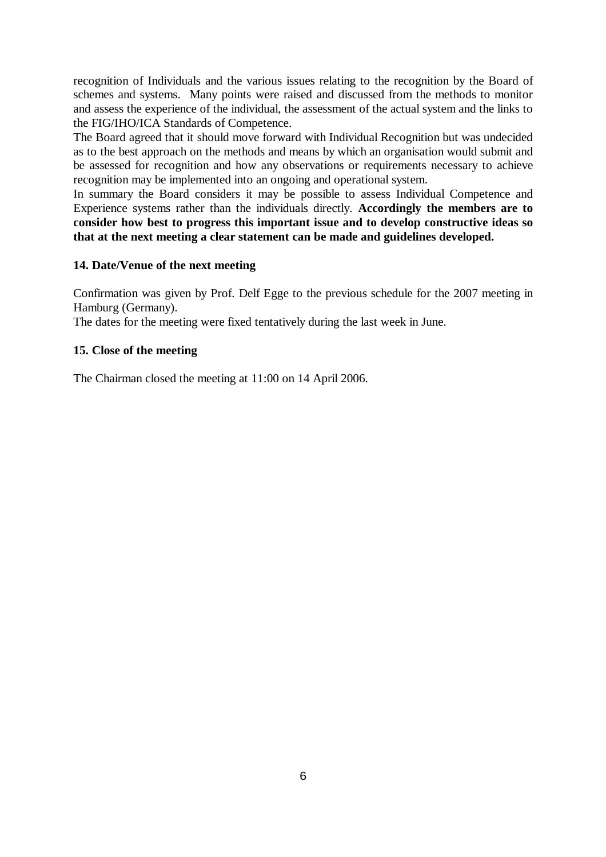recognition of Individuals and the various issues relating to the recognition by the Board of schemes and systems. Many points were raised and discussed from the methods to monitor and assess the experience of the individual, the assessment of the actual system and the links to the FIG/IHO/ICA Standards of Competence.

The Board agreed that it should move forward with Individual Recognition but was undecided as to the best approach on the methods and means by which an organisation would submit and be assessed for recognition and how any observations or requirements necessary to achieve recognition may be implemented into an ongoing and operational system.

In summary the Board considers it may be possible to assess Individual Competence and Experience systems rather than the individuals directly. **Accordingly the members are to consider how best to progress this important issue and to develop constructive ideas so that at the next meeting a clear statement can be made and guidelines developed.** 

### **14. Date/Venue of the next meeting**

Confirmation was given by Prof. Delf Egge to the previous schedule for the 2007 meeting in Hamburg (Germany).

The dates for the meeting were fixed tentatively during the last week in June.

### **15. Close of the meeting**

The Chairman closed the meeting at 11:00 on 14 April 2006.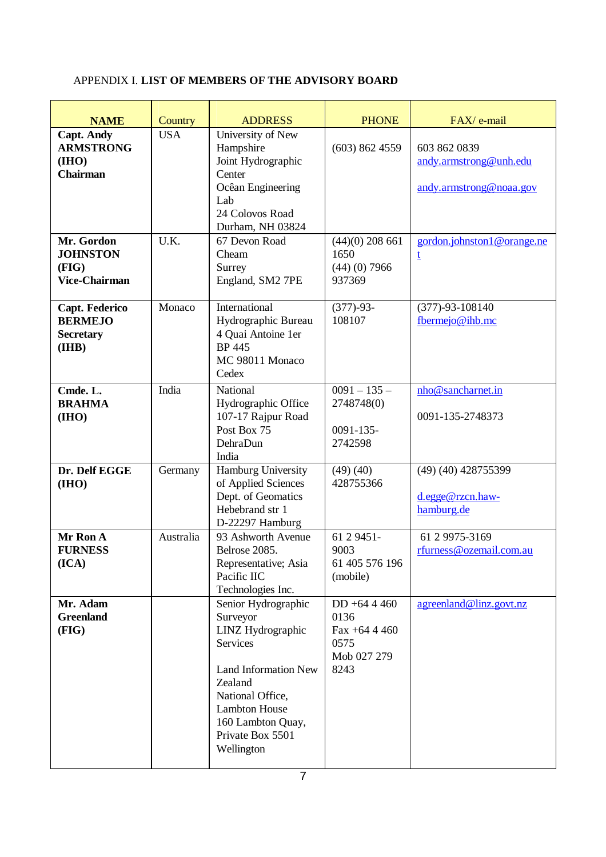# APPENDIX I. **LIST OF MEMBERS OF THE ADVISORY BOARD**

| <b>NAME</b>                                                        | Country    | <b>ADDRESS</b>                                                                                                                                                                                                       | <b>PHONE</b>                                                            | FAX/ e-mail                                                       |
|--------------------------------------------------------------------|------------|----------------------------------------------------------------------------------------------------------------------------------------------------------------------------------------------------------------------|-------------------------------------------------------------------------|-------------------------------------------------------------------|
| <b>Capt. Andy</b><br><b>ARMSTRONG</b><br>(III0)<br><b>Chairman</b> | <b>USA</b> | University of New<br>Hampshire<br>Joint Hydrographic<br>Center<br>Ocêan Engineering<br>Lab<br>24 Colovos Road<br>Durham, NH 03824                                                                                    | (603) 862 4559                                                          | 603 862 0839<br>andy.armstrong@unh.edu<br>andy.armstrong@noaa.gov |
| Mr. Gordon<br><b>JOHNSTON</b><br>(FIG)<br><b>Vice-Chairman</b>     | U.K.       | 67 Devon Road<br>Cheam<br>Surrey<br>England, SM2 7PE                                                                                                                                                                 | $(44)(0)$ 208 661<br>1650<br>$(44)$ (0) 7966<br>937369                  | gordon.johnston1@orange.ne<br>t                                   |
| Capt. Federico<br><b>BERMEJO</b><br><b>Secretary</b><br>(IHB)      | Monaco     | International<br>Hydrographic Bureau<br>4 Quai Antoine 1er<br><b>BP</b> 445<br>MC 98011 Monaco<br>Cedex                                                                                                              | $(377)-93-$<br>108107                                                   | $(377) - 93 - 108140$<br>fbermejo@ihb.mc                          |
| Cmde. L.<br><b>BRAHMA</b><br>(IHO)                                 | India      | National<br>Hydrographic Office<br>107-17 Rajpur Road<br>Post Box 75<br>DehraDun<br>India                                                                                                                            | $0091 - 135 -$<br>2748748(0)<br>0091-135-<br>2742598                    | nho@sancharnet.in<br>0091-135-2748373                             |
| Dr. Delf EGGE<br>(IHO)                                             | Germany    | Hamburg University<br>of Applied Sciences<br>Dept. of Geomatics<br>Hebebrand str 1<br>D-22297 Hamburg                                                                                                                | (49)(40)<br>428755366                                                   | $(49)$ $(40)$ $428755399$<br>d.egge@rzcn.haw-<br>hamburg.de       |
| Mr Ron A<br><b>FURNESS</b><br>(ICA)                                | Australia  | 93 Ashworth Avenue<br>Belrose 2085.<br>Representative; Asia<br>Pacific IIC<br>Technologies Inc.                                                                                                                      | 61 2 9 451 -<br>9003<br>61 405 576 196<br>(mobile)                      | 61 2 9975-3169<br>rfurness@ozemail.com.au                         |
| Mr. Adam<br><b>Greenland</b><br>(FIG)                              |            | Senior Hydrographic<br>Surveyor<br>LINZ Hydrographic<br><b>Services</b><br><b>Land Information New</b><br>Zealand<br>National Office,<br><b>Lambton House</b><br>160 Lambton Quay,<br>Private Box 5501<br>Wellington | $DD + 644460$<br>0136<br>Fax $+64$ 4 460<br>0575<br>Mob 027 279<br>8243 | agreenland@linz.govt.nz                                           |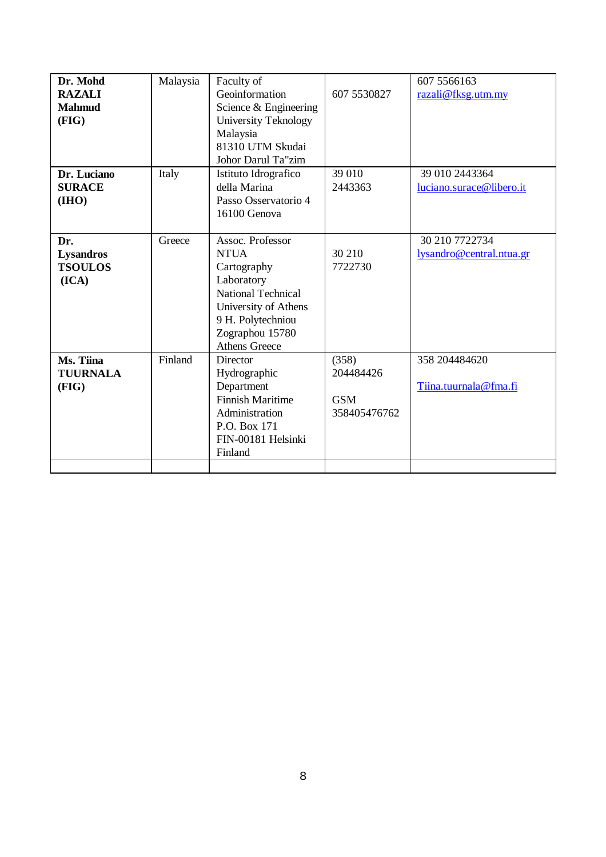| Dr. Mohd         | Malaysia | Faculty of                |              | 607 5566163              |
|------------------|----------|---------------------------|--------------|--------------------------|
| <b>RAZALI</b>    |          | Geoinformation            | 607 5530827  | razali@fksg.utm.my       |
| <b>Mahmud</b>    |          | Science & Engineering     |              |                          |
| (FIG)            |          | University Teknology      |              |                          |
|                  |          | Malaysia                  |              |                          |
|                  |          | 81310 UTM Skudai          |              |                          |
|                  |          | Johor Darul Ta"zim        |              |                          |
| Dr. Luciano      | Italy    | Istituto Idrografico      | 39 010       | 39 010 2443364           |
| <b>SURACE</b>    |          | della Marina              | 2443363      | luciano.surace@libero.it |
| (IIIO)           |          | Passo Osservatorio 4      |              |                          |
|                  |          | 16100 Genova              |              |                          |
|                  |          |                           |              |                          |
| Dr.              | Greece   | Assoc. Professor          |              | 30 210 7722734           |
| <b>Lysandros</b> |          | <b>NTUA</b>               | 30 210       | lysandro@central.ntua.gr |
| <b>TSOULOS</b>   |          | Cartography               | 7722730      |                          |
| (ICA)            |          | Laboratory                |              |                          |
|                  |          | <b>National Technical</b> |              |                          |
|                  |          | University of Athens      |              |                          |
|                  |          | 9 H. Polytechniou         |              |                          |
|                  |          | Zographou 15780           |              |                          |
|                  |          | <b>Athens Greece</b>      |              |                          |
| Ms. Tiina        | Finland  | Director                  | (358)        | 358 2044 846 20          |
| <b>TUURNALA</b>  |          | Hydrographic              | 204484426    |                          |
| (FIG)            |          | Department                |              | Tiina.tuurnala@fma.fi    |
|                  |          | <b>Finnish Maritime</b>   | <b>GSM</b>   |                          |
|                  |          | Administration            | 358405476762 |                          |
|                  |          | P.O. Box 171              |              |                          |
|                  |          | FIN-00181 Helsinki        |              |                          |
|                  |          | Finland                   |              |                          |
|                  |          |                           |              |                          |